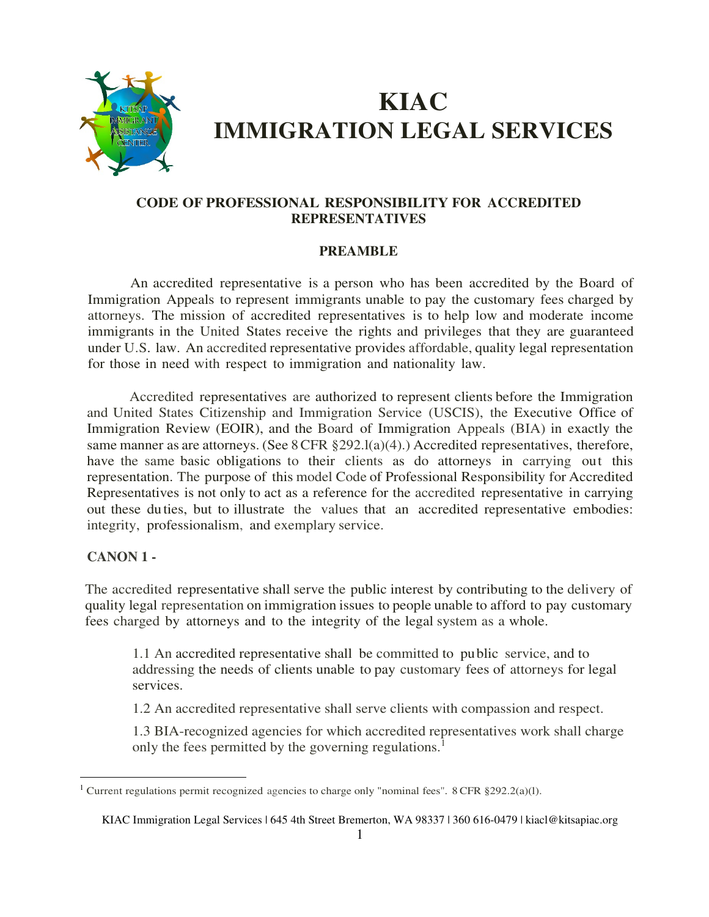

# **KIAC IMMIGRATION LEGAL SERVICES**

# **CODE OF PROFESSIONAL RESPONSIBILITY FOR ACCREDITED REPRESENTATIVES**

## **PREAMBLE**

An accredited representative is a person who has been accredited by the Board of Immigration Appeals to represent immigrants unable to pay the customary fees charged by attorneys. The mission of accredited representatives is to help low and moderate income immigrants in the United States receive the rights and privileges that they are guaranteed under U.S. law. An accredited representative provides affordable, quality legal representation for those in need with respect to immigration and nationality law.

Accredited representatives are authorized to represent clients before the Immigration and United States Citizenship and Immigration Service (USCIS), the Executive Office of Immigration Review (EOIR), and the Board of Immigration Appeals (BIA) in exactly the same manner as are attorneys. (See 8 CFR §292.1(a)(4).) Accredited representatives, therefore, have the same basic obligations to their clients as do attorneys in carrying out this representation. The purpose of this model Code of Professional Responsibility for Accredited Representatives is not only to act as a reference for the accredited representative in carrying out these duties, but to illustrate the values that an accredited representative embodies: integrity, professionalism, and exemplary service.

## **CANON 1 -**

 $\overline{a}$ 

The accredited representative shall serve the public interest by contributing to the delivery of quality legal representation on immigration issues to people unable to afford to pay customary fees charged by attorneys and to the integrity of the legal system as a whole.

1.1 An accredited representative shall be committed to public service, and to addressing the needs of clients unable to pay customary fees of attorneys for legal services.

1.2 An accredited representative shall serve clients with compassion and respect.

1.3 BIA-recognized agencies for which accredited representatives work shall charge only the fees permitted by the governing regulations.<sup>1</sup>

<sup>&</sup>lt;sup>1</sup> Current regulations permit recognized agencies to charge only "nominal fees". 8 CFR §292.2(a)(1).

KIAC Immigration Legal Services | 645 4th Street Bremerton, WA 98337 | 360 616-0479 | kiacl@kitsapiac.org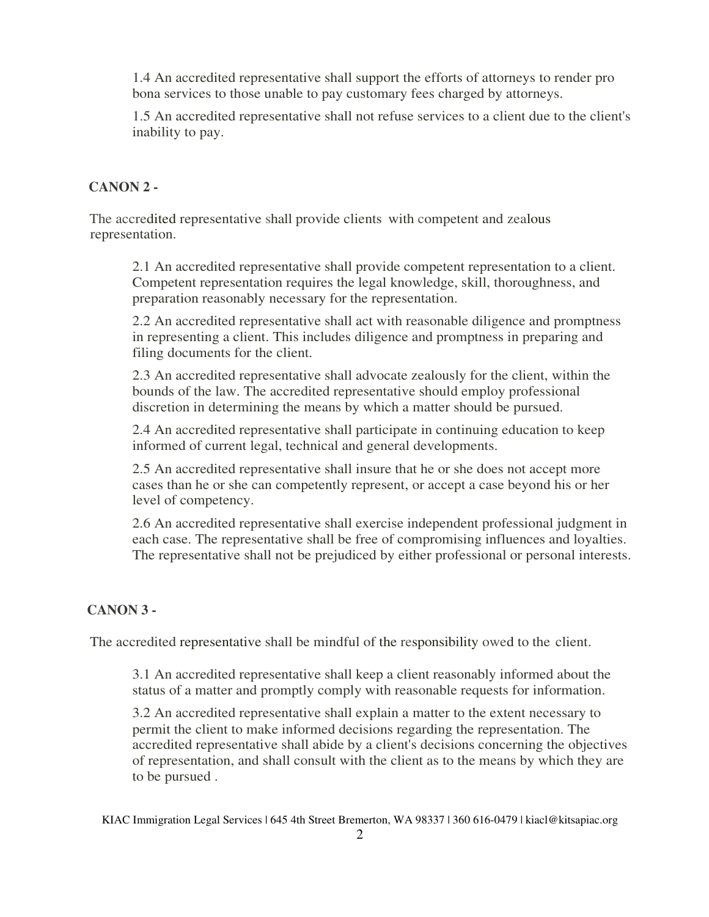1.4 An accredited representative shall support the efforts of attorneys to render pro bona services to those unable to pay customary fees charged by attorneys.

1.5 An accredited representative shall not refuse services to a client due to the client's inability to pay.

# **CANON 2 -**

The accredited representative shall provide clients with competent and zealous representation.

2.1 An accredited representative shall provide competent representation to a client. Competent representation requires the legal knowledge, skill, thoroughness, and preparation reasonably necessary for the representation.

2.2 An accredited representative shall act with reasonable diligence and promptness in representing a client. This includes diligence and promptness in preparing and filing documents for the client.

2.3 An accredited representative shall advocate zealously for the client, within the bounds of the law. The accredited representative should employ professional discretion in determining the means by which a matter should be pursued.

2.4 An accredited representative shall participate in continuing education to keep informed of current legal, technical and general developments.

2.5 An accredited representative shall insure that he or she does not accept more cases than he or she can competently represent, or accept a case beyond his or her level of competency.

2.6 An accredited representative shall exercise independent professional judgment in each case. The representative shall be free of compromising influences and loyalties. The representative shall not be prejudiced by either professional or personal interests.

## **CANON 3 -**

The accredited representative shall be mindful of the responsibility owed to the client.

3.1 An accredited representative shall keep a client reasonably informed about the status of a matter and promptly comply with reasonable requests for information.

3.2 An accredited representative shall explain a matter to the extent necessary to permit the client to make informed decisions regarding the representation. The accredited representative shall abide by a client's decisions concerning the objectives of representation, and shall consult with the client as to the means by which they are to be pursued .

KIAC Immigration Legal Services | 645 4th Street Bremerton, WA 98337 | 360 616-0479 | kiacl@kitsapiac.org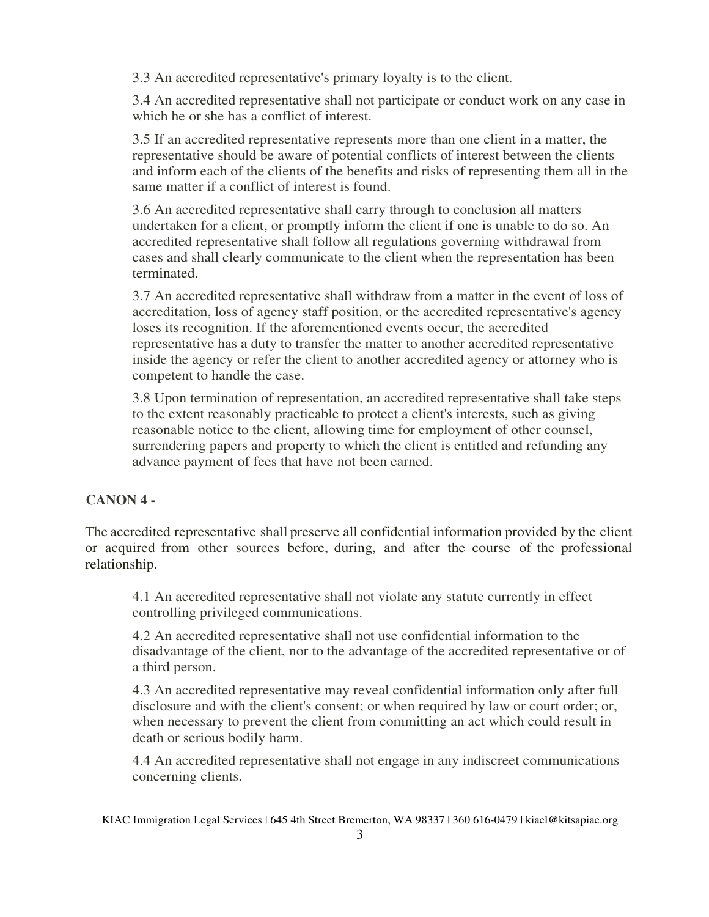3.3 An accredited representative's primary loyalty is to the client.

3.4 An accredited representative shall not participate or conduct work on any case in which he or she has a conflict of interest.

3.5 If an accredited representative represents more than one client in a matter, the representative should be aware of potential conflicts of interest between the clients and inform each of the clients of the benefits and risks of representing them all in the same matter if a conflict of interest is found.

3.6 An accredited representative shall carry through to conclusion all matters undertaken for a client, or promptly inform the client if one is unable to do so. An accredited representative shall follow all regulations governing withdrawal from cases and shall clearly communicate to the client when the representation has been terminated.

3.7 An accredited representative shall withdraw from a matter in the event of loss of accreditation, loss of agency staff position, or the accredited representative's agency loses its recognition. If the aforementioned events occur, the accredited representative has a duty to transfer the matter to another accredited representative inside the agency or refer the client to another accredited agency or attorney who is competent to handle the case.

3.8 Upon termination of representation, an accredited representative shall take steps to the extent reasonably practicable to protect a client's interests, such as giving reasonable notice to the client, allowing time for employment of other counsel, surrendering papers and property to which the client is entitled and refunding any advance payment of fees that have not been earned.

# **CANON 4 -**

The accredited representative shall preserve all confidential information provided by the client or acquired from other sources before, during, and after the course of the professional relationship.

4.1 An accredited representative shall not violate any statute currently in effect controlling privileged communications.

4.2 An accredited representative shall not use confidential information to the disadvantage of the client, nor to the advantage of the accredited representative or of a third person.

4.3 An accredited representative may reveal confidential information only after full disclosure and with the client's consent; or when required by law or court order; or, when necessary to prevent the client from committing an act which could result in death or serious bodily harm.

4.4 An accredited representative shall not engage in any indiscreet communications concerning clients.

KIAC Immigration Legal Services | 645 4th Street Bremerton, WA 98337 | 360 616-0479 | kiacl@kitsapiac.org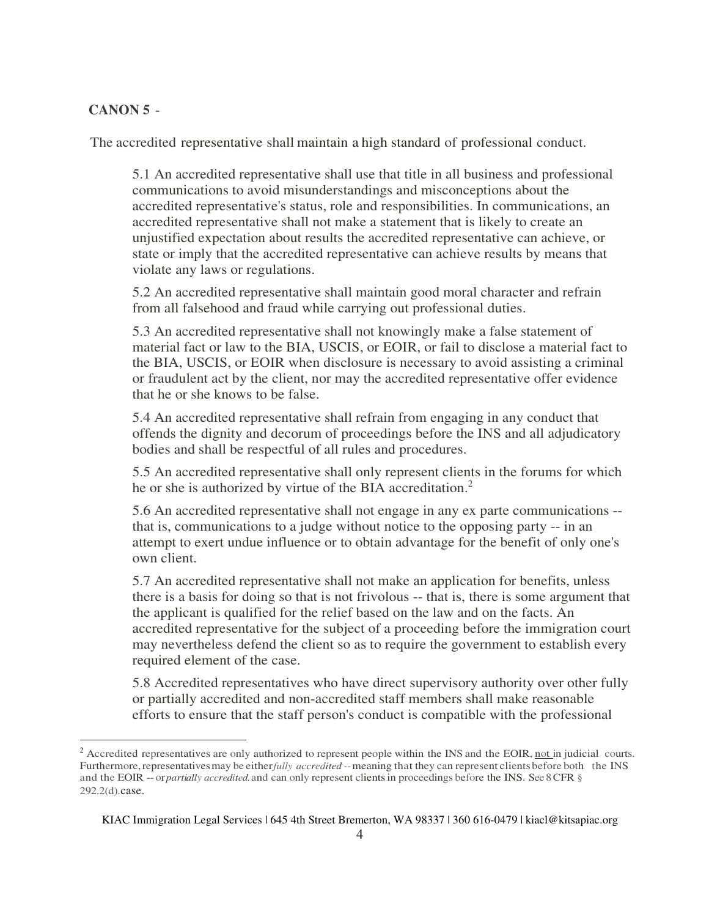#### **CANON 5** -

 $\overline{a}$ 

The accredited representative shall maintain a high standard of professional conduct.

5.1 An accredited representative shall use that title in all business and professional communications to avoid misunderstandings and misconceptions about the accredited representative's status, role and responsibilities. In communications, an accredited representative shall not make a statement that is likely to create an unjustified expectation about results the accredited representative can achieve, or state or imply that the accredited representative can achieve results by means that violate any laws or regulations.

5.2 An accredited representative shall maintain good moral character and refrain from all falsehood and fraud while carrying out professional duties.

5.3 An accredited representative shall not knowingly make a false statement of material fact or law to the BIA, USCIS, or EOIR, or fail to disclose a material fact to the BIA, USCIS, or EOIR when disclosure is necessary to avoid assisting a criminal or fraudulent act by the client, nor may the accredited representative offer evidence that he or she knows to be false.

5.4 An accredited representative shall refrain from engaging in any conduct that offends the dignity and decorum of proceedings before the INS and all adjudicatory bodies and shall be respectful of all rules and procedures.

5.5 An accredited representative shall only represent clients in the forums for which he or she is authorized by virtue of the BIA accreditation.<sup>2</sup>

5.6 An accredited representative shall not engage in any ex parte communications - that is, communications to a judge without notice to the opposing party -- in an attempt to exert undue influence or to obtain advantage for the benefit of only one's own client.

5.7 An accredited representative shall not make an application for benefits, unless there is a basis for doing so that is not frivolous -- that is, there is some argument that the applicant is qualified for the relief based on the law and on the facts. An accredited representative for the subject of a proceeding before the immigration court may nevertheless defend the client so as to require the government to establish every required element of the case.

5.8 Accredited representatives who have direct supervisory authority over other fully or partially accredited and non-accredited staff members shall make reasonable efforts to ensure that the staff person's conduct is compatible with the professional

<sup>&</sup>lt;sup>2</sup> Accredited representatives are only authorized to represent people within the INS and the EOIR, not in judicial courts. Furthermore, representatives may be either *fully accredited* -- meaning that they can represent clients before both the INS and the EOIR -- or *partially accredited.* and can only represent clients in proceedings before the INS. See 8 CFR § 292.2(d).case.

KIAC Immigration Legal Services | 645 4th Street Bremerton, WA 98337 | 360 616-0479 | kiacl@kitsapiac.org